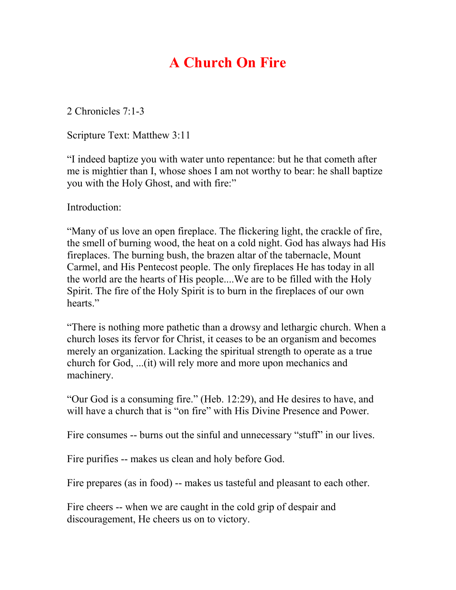# **A Church On Fire**

2 Chronicles 7:1-3

Scripture Text: Matthew 3:11

"I indeed baptize you with water unto repentance: but he that cometh after me is mightier than I, whose shoes I am not worthy to bear: he shall baptize you with the Holy Ghost, and with fire:"

Introduction:

"Many of us love an open fireplace. The flickering light, the crackle of fire, the smell of burning wood, the heat on a cold night. God has always had His fireplaces. The burning bush, the brazen altar of the tabernacle, Mount Carmel, and His Pentecost people. The only fireplaces He has today in all the world are the hearts of His people....We are to be filled with the Holy Spirit. The fire of the Holy Spirit is to burn in the fireplaces of our own hearts."

"There is nothing more pathetic than a drowsy and lethargic church. When a church loses its fervor for Christ, it ceases to be an organism and becomes merely an organization. Lacking the spiritual strength to operate as a true church for God, ...(it) will rely more and more upon mechanics and machinery.

"Our God is a consuming fire." (Heb. 12:29), and He desires to have, and will have a church that is "on fire" with His Divine Presence and Power.

Fire consumes -- burns out the sinful and unnecessary "stuff" in our lives.

Fire purifies -- makes us clean and holy before God.

Fire prepares (as in food) -- makes us tasteful and pleasant to each other.

Fire cheers -- when we are caught in the cold grip of despair and discouragement, He cheers us on to victory.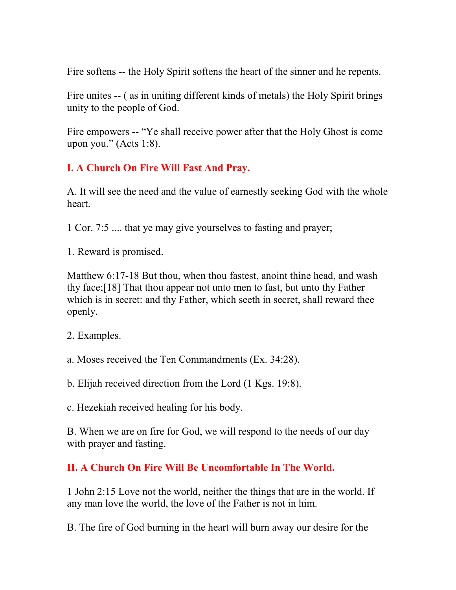Fire softens -- the Holy Spirit softens the heart of the sinner and he repents.

Fire unites -- ( as in uniting different kinds of metals) the Holy Spirit brings unity to the people of God.

Fire empowers -- "Ye shall receive power after that the Holy Ghost is come upon you." (Acts 1:8).

### **I. A Church On Fire Will Fast And Pray.**

A. It will see the need and the value of earnestly seeking God with the whole heart.

1 Cor. 7:5 .... that ye may give yourselves to fasting and prayer;

1. Reward is promised.

Matthew 6:17-18 But thou, when thou fastest, anoint thine head, and wash thy face;[18] That thou appear not unto men to fast, but unto thy Father which is in secret: and thy Father, which seeth in secret, shall reward thee openly.

2. Examples.

a. Moses received the Ten Commandments (Ex. 34:28).

b. Elijah received direction from the Lord (1 Kgs. 19:8).

c. Hezekiah received healing for his body.

B. When we are on fire for God, we will respond to the needs of our day with prayer and fasting.

## **II. A Church On Fire Will Be Uncomfortable In The World.**

1 John 2:15 Love not the world, neither the things that are in the world. If any man love the world, the love of the Father is not in him.

B. The fire of God burning in the heart will burn away our desire for the